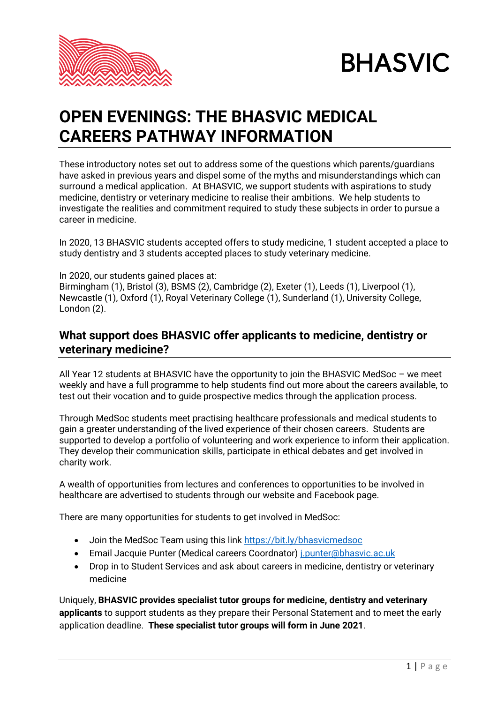



# **OPEN EVENINGS: THE BHASVIC MEDICAL CAREERS PATHWAY INFORMATION**

These introductory notes set out to address some of the questions which parents/guardians have asked in previous years and dispel some of the myths and misunderstandings which can surround a medical application. At BHASVIC, we support students with aspirations to study medicine, dentistry or veterinary medicine to realise their ambitions. We help students to investigate the realities and commitment required to study these subjects in order to pursue a career in medicine.

In 2020, 13 BHASVIC students accepted offers to study medicine, 1 student accepted a place to study dentistry and 3 students accepted places to study veterinary medicine.

In 2020, our students gained places at: Birmingham (1), Bristol (3), BSMS (2), Cambridge (2), Exeter (1), Leeds (1), Liverpool (1), Newcastle (1), Oxford (1), Royal Veterinary College (1), Sunderland (1), University College, London (2).

# **What support does BHASVIC offer applicants to medicine, dentistry or veterinary medicine?**

All Year 12 students at BHASVIC have the opportunity to join the BHASVIC MedSoc – we meet weekly and have a full programme to help students find out more about the careers available, to test out their vocation and to guide prospective medics through the application process.

Through MedSoc students meet practising healthcare professionals and medical students to gain a greater understanding of the lived experience of their chosen careers. Students are supported to develop a portfolio of volunteering and work experience to inform their application. They develop their communication skills, participate in ethical debates and get involved in charity work.

A wealth of opportunities from lectures and conferences to opportunities to be involved in healthcare are advertised to students through our website and Facebook page.

There are many opportunities for students to get involved in MedSoc:

- Join the MedSoc Team using this link<https://bit.ly/bhasvicmedsoc>
- Email Jacquie Punter (Medical careers Coordnator) [j.punter@bhasvic.ac.uk](mailto:j.punter@bhasvic.ac.uk)
- Drop in to Student Services and ask about careers in medicine, dentistry or veterinary medicine

Uniquely, **BHASVIC provides specialist tutor groups for medicine, dentistry and veterinary applicants** to support students as they prepare their Personal Statement and to meet the early application deadline. **These specialist tutor groups will form in June 2021**.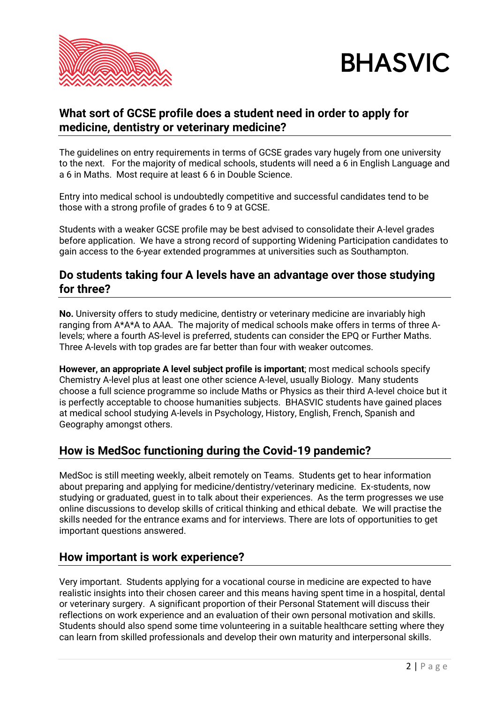



## **What sort of GCSE profile does a student need in order to apply for medicine, dentistry or veterinary medicine?**

The guidelines on entry requirements in terms of GCSE grades vary hugely from one university to the next. For the majority of medical schools, students will need a 6 in English Language and a 6 in Maths. Most require at least 6 6 in Double Science.

Entry into medical school is undoubtedly competitive and successful candidates tend to be those with a strong profile of grades 6 to 9 at GCSE.

Students with a weaker GCSE profile may be best advised to consolidate their A-level grades before application. We have a strong record of supporting Widening Participation candidates to gain access to the 6-year extended programmes at universities such as Southampton.

## **Do students taking four A levels have an advantage over those studying for three?**

**No.** University offers to study medicine, dentistry or veterinary medicine are invariably high ranging from A\*A\*A to AAA. The majority of medical schools make offers in terms of three Alevels; where a fourth AS-level is preferred, students can consider the EPQ or Further Maths. Three A-levels with top grades are far better than four with weaker outcomes.

**However, an appropriate A level subject profile is important**; most medical schools specify Chemistry A-level plus at least one other science A-level, usually Biology. Many students choose a full science programme so include Maths or Physics as their third A-level choice but it is perfectly acceptable to choose humanities subjects. BHASVIC students have gained places at medical school studying A-levels in Psychology, History, English, French, Spanish and Geography amongst others.

# **How is MedSoc functioning during the Covid-19 pandemic?**

MedSoc is still meeting weekly, albeit remotely on Teams. Students get to hear information about preparing and applying for medicine/dentistry/veterinary medicine. Ex-students, now studying or graduated, guest in to talk about their experiences. As the term progresses we use online discussions to develop skills of critical thinking and ethical debate. We will practise the skills needed for the entrance exams and for interviews. There are lots of opportunities to get important questions answered.

#### **How important is work experience?**

Very important. Students applying for a vocational course in medicine are expected to have realistic insights into their chosen career and this means having spent time in a hospital, dental or veterinary surgery. A significant proportion of their Personal Statement will discuss their reflections on work experience and an evaluation of their own personal motivation and skills. Students should also spend some time volunteering in a suitable healthcare setting where they can learn from skilled professionals and develop their own maturity and interpersonal skills.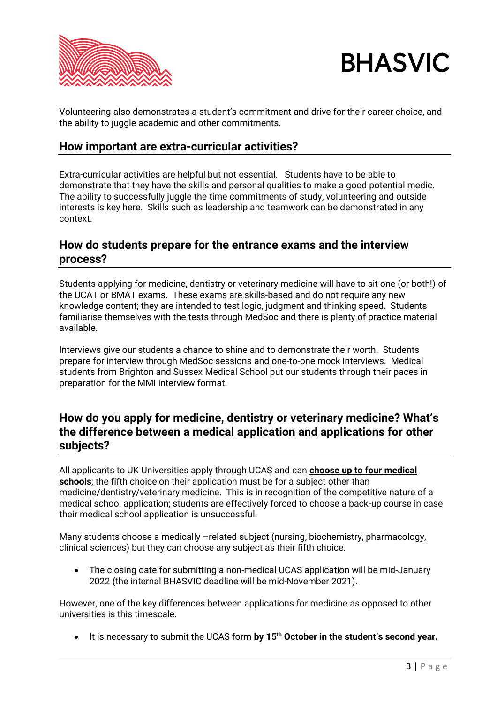



Volunteering also demonstrates a student's commitment and drive for their career choice, and the ability to juggle academic and other commitments.

#### **How important are extra-curricular activities?**

Extra-curricular activities are helpful but not essential. Students have to be able to demonstrate that they have the skills and personal qualities to make a good potential medic. The ability to successfully juggle the time commitments of study, volunteering and outside interests is key here. Skills such as leadership and teamwork can be demonstrated in any context.

#### **How do students prepare for the entrance exams and the interview process?**

Students applying for medicine, dentistry or veterinary medicine will have to sit one (or both!) of the UCAT or BMAT exams. These exams are skills-based and do not require any new knowledge content; they are intended to test logic, judgment and thinking speed. Students familiarise themselves with the tests through MedSoc and there is plenty of practice material available.

Interviews give our students a chance to shine and to demonstrate their worth. Students prepare for interview through MedSoc sessions and one-to-one mock interviews. Medical students from Brighton and Sussex Medical School put our students through their paces in preparation for the MMI interview format.

## **How do you apply for medicine, dentistry or veterinary medicine? What's the difference between a medical application and applications for other subjects?**

All applicants to UK Universities apply through UCAS and can **choose up to four medical schools**; the fifth choice on their application must be for a subject other than medicine/dentistry/veterinary medicine. This is in recognition of the competitive nature of a medical school application; students are effectively forced to choose a back-up course in case their medical school application is unsuccessful.

Many students choose a medically –related subject (nursing, biochemistry, pharmacology, clinical sciences) but they can choose any subject as their fifth choice.

• The closing date for submitting a non-medical UCAS application will be mid-January 2022 (the internal BHASVIC deadline will be mid-November 2021).

However, one of the key differences between applications for medicine as opposed to other universities is this timescale.

• It is necessary to submit the UCAS form **by 15th October in the student's second year.**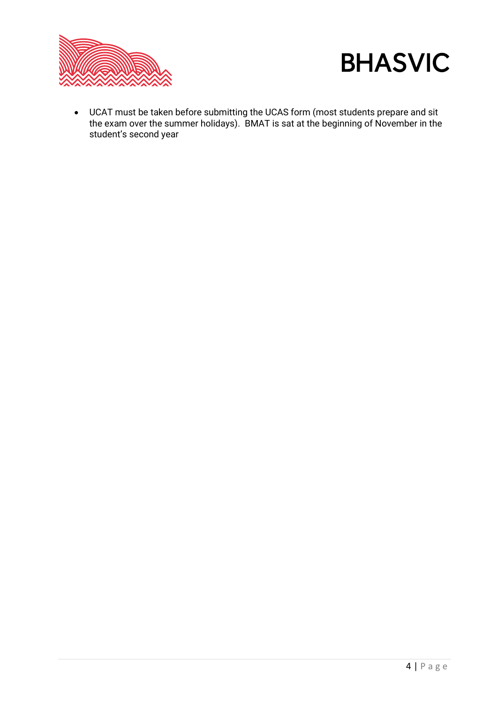



• UCAT must be taken before submitting the UCAS form (most students prepare and sit the exam over the summer holidays). BMAT is sat at the beginning of November in the student's second year